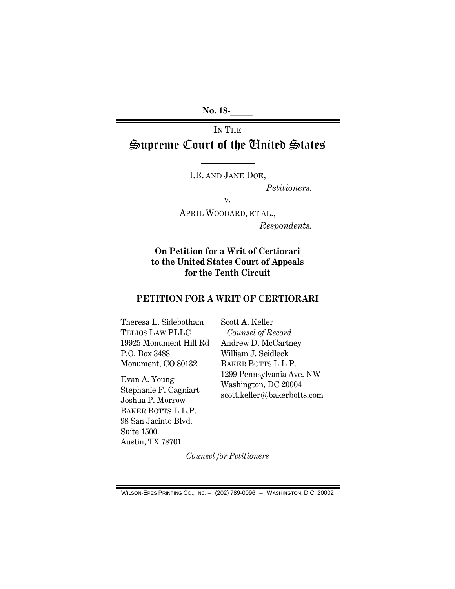No. 18-

# IN THE Supreme Court of the United States

I.B. AND JANE DOE,

Petitioners,

v.

APRIL WOODARD, ET AL., Respondents.

On Petition for a Writ of Certiorari to the United States Court of Appeals for the Tenth Circuit

# PETITION FOR A WRIT OF CERTIORARI

Theresa L. Sidebotham TELIOS LAW PLLC 19925 Monument Hill Rd P.O. Box 3488 Monument, CO 80132

Evan A. Young Stephanie F. Cagniart Joshua P. Morrow BAKER BOTTS L.L.P. 98 San Jacinto Blvd. Suite 1500 Austin, TX 78701

Scott A. Keller Counsel of Record Andrew D. McCartney William J. Seidleck BAKER BOTTS L.L.P. 1299 Pennsylvania Ave. NW Washington, DC 20004 scott.keller@bakerbotts.com

Counsel for Petitioners

WILSON-EPES PRINTING CO., INC. – (202) 789-0096 – WASHINGTON, D.C. 20002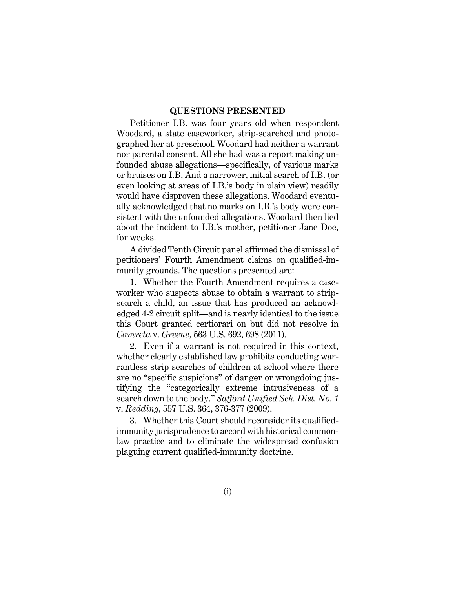### QUESTIONS PRESENTED

Petitioner I.B. was four years old when respondent Woodard, a state caseworker, strip-searched and photographed her at preschool. Woodard had neither a warrant nor parental consent. All she had was a report making unfounded abuse allegations—specifically, of various marks or bruises on I.B. And a narrower, initial search of I.B. (or even looking at areas of I.B.'s body in plain view) readily would have disproven these allegations. Woodard eventually acknowledged that no marks on I.B.'s body were consistent with the unfounded allegations. Woodard then lied about the incident to I.B.'s mother, petitioner Jane Doe, for weeks.

A divided Tenth Circuit panel affirmed the dismissal of petitioners' Fourth Amendment claims on qualified-immunity grounds. The questions presented are:

1. Whether the Fourth Amendment requires a caseworker who suspects abuse to obtain a warrant to stripsearch a child, an issue that has produced an acknowledged 4-2 circuit split—and is nearly identical to the issue this Court granted certiorari on but did not resolve in Camreta v. Greene, 563 U.S. 692, 698 (2011).

2. Even if a warrant is not required in this context, whether clearly established law prohibits conducting warrantless strip searches of children at school where there are no "specific suspicions" of danger or wrongdoing justifying the "categorically extreme intrusiveness of a search down to the body." Safford Unified Sch. Dist. No. 1 v. Redding, 557 U.S. 364, 376-377 (2009).

3. Whether this Court should reconsider its qualifiedimmunity jurisprudence to accord with historical commonlaw practice and to eliminate the widespread confusion plaguing current qualified-immunity doctrine.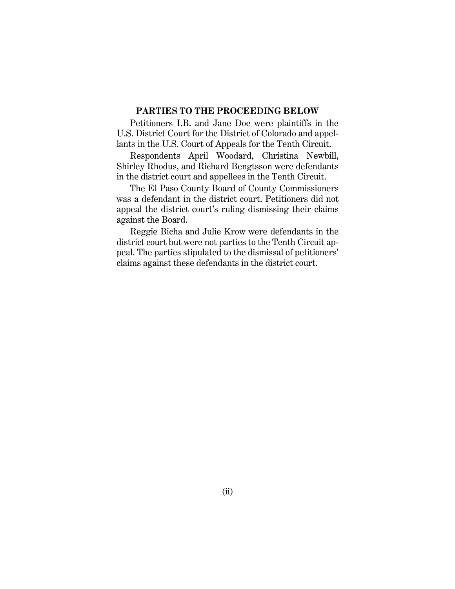# PARTIES TO THE PROCEEDING BELOW

Petitioners I.B. and Jane Doe were plaintiffs in the U.S. District Court for the District of Colorado and appellants in the U.S. Court of Appeals for the Tenth Circuit.

Respondents April Woodard, Christina Newbill, Shirley Rhodus, and Richard Bengtsson were defendants in the district court and appellees in the Tenth Circuit.

The El Paso County Board of County Commissioners was a defendant in the district court. Petitioners did not appeal the district court's ruling dismissing their claims against the Board.

Reggie Bicha and Julie Krow were defendants in the district court but were not parties to the Tenth Circuit appeal. The parties stipulated to the dismissal of petitioners' claims against these defendants in the district court.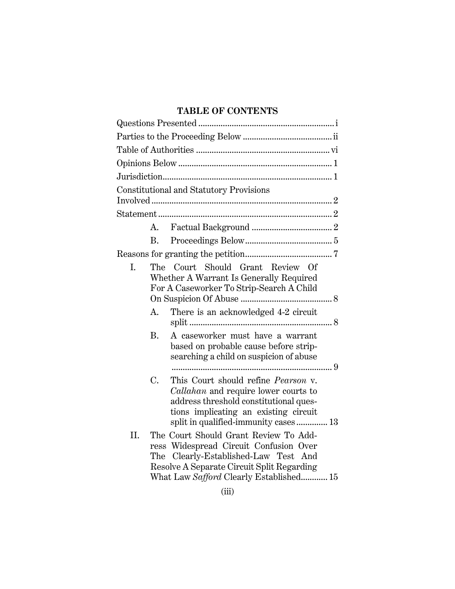# TABLE OF CONTENTS

|     |           | <b>Constitutional and Statutory Provisions</b>                                                                                                                                                                       |  |  |  |
|-----|-----------|----------------------------------------------------------------------------------------------------------------------------------------------------------------------------------------------------------------------|--|--|--|
|     |           |                                                                                                                                                                                                                      |  |  |  |
|     | A.        |                                                                                                                                                                                                                      |  |  |  |
|     | B.        |                                                                                                                                                                                                                      |  |  |  |
|     |           |                                                                                                                                                                                                                      |  |  |  |
| I.  | The       | Court Should Grant Review Of<br>Whether A Warrant Is Generally Required<br>For A Caseworker To Strip-Search A Child                                                                                                  |  |  |  |
|     | A.        | There is an acknowledged 4-2 circuit                                                                                                                                                                                 |  |  |  |
|     | <b>B.</b> | A caseworker must have a warrant<br>based on probable cause before strip-<br>searching a child on suspicion of abuse                                                                                                 |  |  |  |
|     | C.        | This Court should refine <i>Pearson</i> v.<br><i>Callahan</i> and require lower courts to<br>address threshold constitutional ques-<br>tions implicating an existing circuit<br>split in qualified-immunity cases 13 |  |  |  |
| II. |           | The Court Should Grant Review To Add-<br>ress Widespread Circuit Confusion Over<br>The Clearly-Established-Law Test And<br>Resolve A Separate Circuit Split Regarding<br>What Law Safford Clearly Established 15     |  |  |  |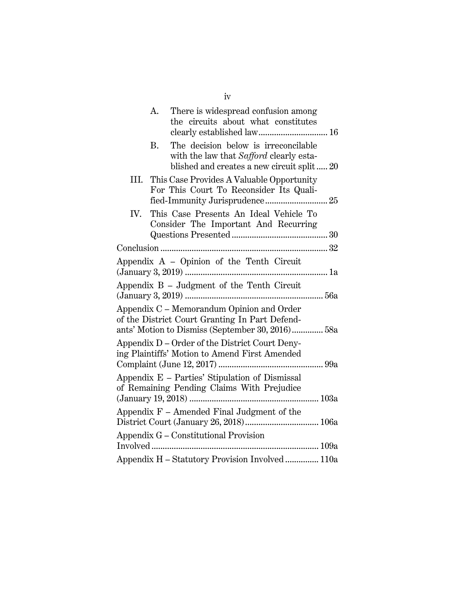|      | A. | There is widespread confusion among                                                                                                             |
|------|----|-------------------------------------------------------------------------------------------------------------------------------------------------|
|      |    | the circuits about what constitutes                                                                                                             |
|      | В. | The decision below is irreconcilable<br>with the law that Safford clearly esta-<br>blished and creates a new circuit split 20                   |
| III. |    | This Case Provides A Valuable Opportunity<br>For This Court To Reconsider Its Quali-                                                            |
| IV.  |    | This Case Presents An Ideal Vehicle To<br>Consider The Important And Recurring                                                                  |
|      |    |                                                                                                                                                 |
|      |    | Appendix A – Opinion of the Tenth Circuit                                                                                                       |
|      |    |                                                                                                                                                 |
|      |    | Appendix B - Judgment of the Tenth Circuit                                                                                                      |
|      |    | Appendix C – Memorandum Opinion and Order<br>of the District Court Granting In Part Defend-<br>ants' Motion to Dismiss (September 30, 2016) 58a |
|      |    | Appendix D – Order of the District Court Deny-<br>ing Plaintiffs' Motion to Amend First Amended                                                 |
|      |    | Appendix E – Parties' Stipulation of Dismissal<br>of Remaining Pending Claims With Prejudice                                                    |
|      |    | Appendix $F$ – Amended Final Judgment of the                                                                                                    |
|      |    | Appendix G – Constitutional Provision                                                                                                           |
|      |    | Appendix H - Statutory Provision Involved  110a                                                                                                 |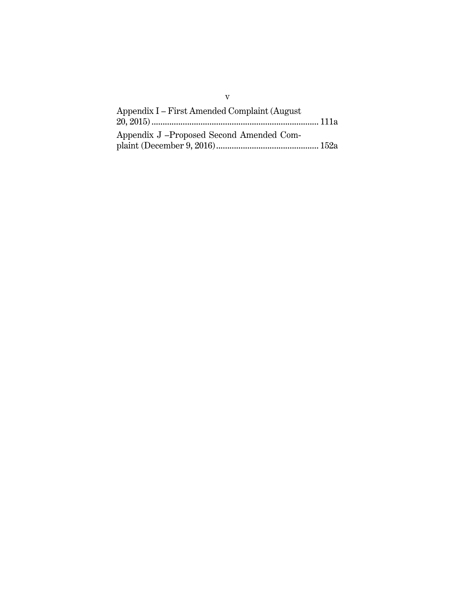| Appendix I – First Amended Complaint (August) |  |
|-----------------------------------------------|--|
| Appendix J – Proposed Second Amended Com-     |  |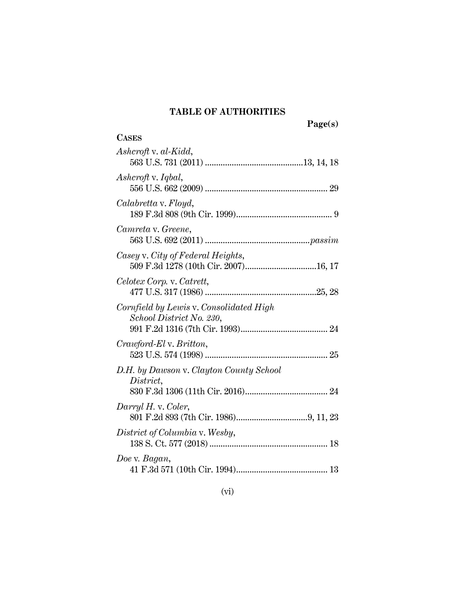## TABLE OF AUTHORITIES

**CASES** 

Page(s)

# Ashcroft v. al-Kidd, 563 U.S. 731 (2011) ............................................ 13, 14, 18 Ashcroft v. Iqbal, 556 U.S. 662 (2009) ....................................................... 29 Calabretta v. Floyd, 189 F.3d 808 (9th Cir. 1999) ........................................... 9 Camreta v. Greene, 563 U.S. 692 (2011) ............................................... passim Casey v. City of Federal Heights, 509 F.3d 1278 (10th Cir. 2007) ................................ 16, 17 Celotex Corp. v. Catrett, 477 U.S. 317 (1986) .................................................. 25, 28 Cornfield by Lewis v. Consolidated High School District No. 230, 991 F.2d 1316 (7th Cir. 1993) ....................................... 24 Crawford-El v. Britton, 523 U.S. 574 (1998) ....................................................... 25 D.H. by Dawson v. Clayton County School District, 830 F.3d 1306 (11th Cir. 2016) ..................................... 24 Darryl H. v. Coler, 801 F.2d 893 (7th Cir. 1986) ................................ 9, 11, 23 District of Columbia v. Wesby, 138 S. Ct. 577 (2018) ..................................................... 18 Doe v. Bagan, 41 F.3d 571 (10th Cir. 1994) ......................................... 13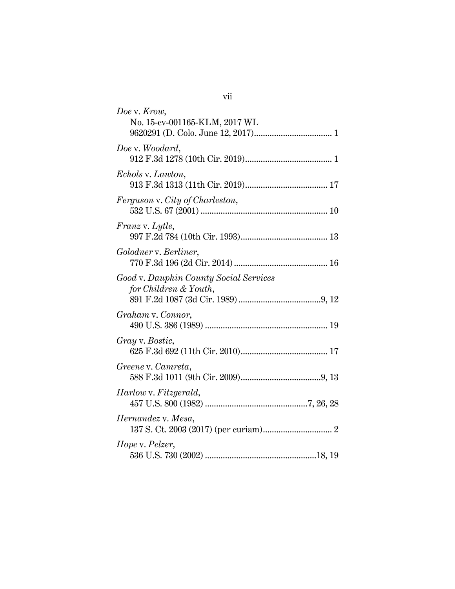| Doe v. Krow,<br>No. 15-cv-001165-KLM, 2017 WL                   |
|-----------------------------------------------------------------|
|                                                                 |
| Doe v. Woodard,                                                 |
| Echols v. Lawton,                                               |
| Ferguson v. City of Charleston,                                 |
| <i>Franz v. Lytle,</i>                                          |
| Golodner v. Berliner,                                           |
| Good v. Dauphin County Social Services<br>for Children & Youth, |
| Graham v. Connor,                                               |
| Gray v. Bostic,                                                 |
| Greene v. Camreta,                                              |
| Harlow v. Fitzgerald,                                           |
| Hernandez v. Mesa,                                              |
| Hope v. Pelzer,                                                 |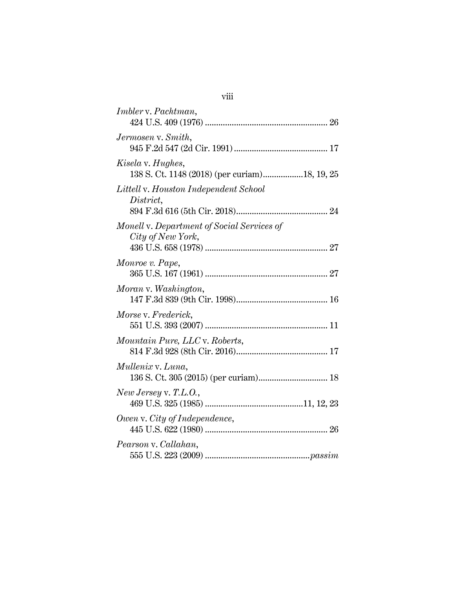| <i>Imbler v. Pachtman,</i>                                      |
|-----------------------------------------------------------------|
| Jermosen v. Smith,                                              |
| Kisela v. Hughes,                                               |
| Littell v. Houston Independent School<br>District,              |
| Monell v. Department of Social Services of<br>City of New York, |
| Monroe v. Pape,                                                 |
| Moran v. Washington,                                            |
| Morse v. Frederick,                                             |
| Mountain Pure, LLC v. Roberts,                                  |
| Mullenix v. Luna,                                               |
| New Jersey v. T.L.O.,                                           |
| Owen v. City of Independence,                                   |
| Pearson v. Callahan,                                            |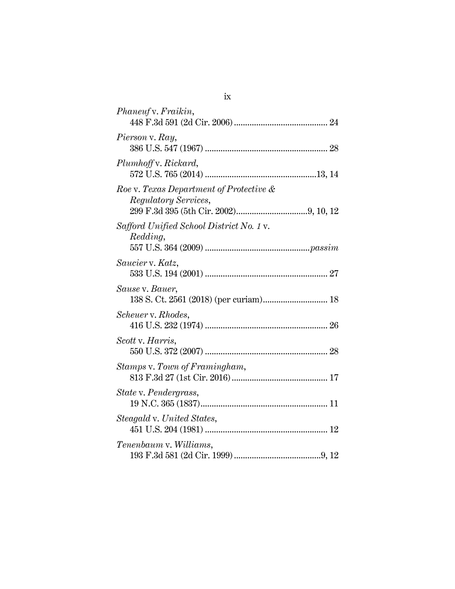| Phaneuf v. Fraikin,                                                    |
|------------------------------------------------------------------------|
| Pierson v. Ray,                                                        |
| Plumhoff v. Rickard,                                                   |
| Roe v. Texas Department of Protective &<br><i>Regulatory Services,</i> |
| Safford Unified School District No. 1 v.<br>Redding,                   |
| Saucier v. Katz,                                                       |
| Sause v. Bauer,<br>138 S. Ct. 2561 (2018) (per curiam) 18              |
| Scheuer v. Rhodes,                                                     |
| Scott v. Harris,                                                       |
| Stamps v. Town of Framingham,                                          |
| State v. Pendergrass,                                                  |
| Steagald v. United States,                                             |
| Tenenbaum v. Williams,                                                 |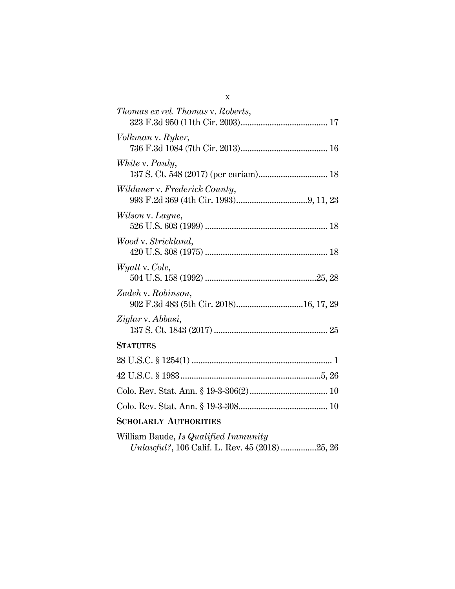| <i>Thomas ex rel. Thomas v. Roberts,</i>                     |
|--------------------------------------------------------------|
| Volkman v. Ryker,                                            |
| White v. Pauly,                                              |
| Wildauer v. Frederick County,                                |
| Wilson v. Layne,                                             |
| Wood v. Strickland,                                          |
| <i>Wyatt</i> v. Cole,                                        |
| Zadeh v. Robinson,<br>902 F.3d 483 (5th Cir. 2018)16, 17, 29 |
| Ziglar v. Abbasi,                                            |
| <b>STATUTES</b>                                              |
|                                                              |
|                                                              |
|                                                              |
|                                                              |
| <b>SCHOLARLY AUTHORITIES</b>                                 |
| William Baude, Is Qualified Immunity                         |

|  |  |  | <i>Unlawful?</i> , 106 Calif. L. Rev. 45 (2018) 25, 26 |  |
|--|--|--|--------------------------------------------------------|--|

x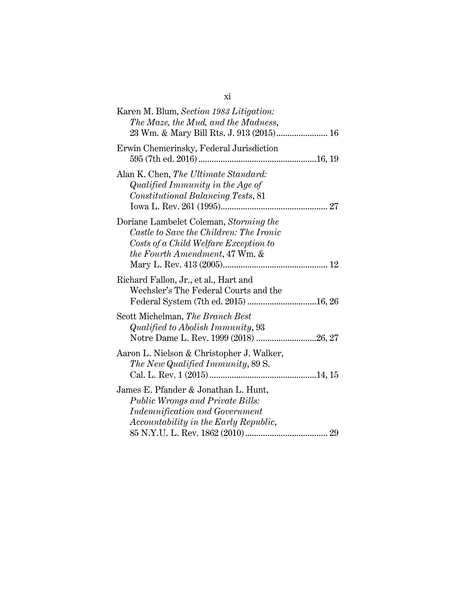| Karen M. Blum, Section 1983 Litigation:<br>The Maze, the Mud, and the Madness,                                                                                          |
|-------------------------------------------------------------------------------------------------------------------------------------------------------------------------|
| Erwin Chemerinsky, Federal Jurisdiction                                                                                                                                 |
| Alan K. Chen, The Ultimate Standard:<br>Qualified Immunity in the Age of<br>Constitutional Balancing Tests, 81                                                          |
| Doriane Lambelet Coleman, Storming the<br>Castle to Save the Children: The Ironic<br>Costs of a Child Welfare Exception to<br><i>the Fourth Amendment, 47 Wm. &amp;</i> |
| Richard Fallon, Jr., et al., Hart and<br>Wechsler's The Federal Courts and the                                                                                          |
| Scott Michelman, The Branch Best<br>Qualified to Abolish Immunity, 93<br>Notre Dame L. Rev. 1999 (2018) 26, 27                                                          |
| Aaron L. Nielson & Christopher J. Walker,<br>The New Qualified Immunity, 89 S.                                                                                          |
| James E. Pfander & Jonathan L. Hunt,<br><b>Public Wrongs and Private Bills:</b><br><b>Indemnification and Government</b><br>Accountability in the Early Republic,       |

xi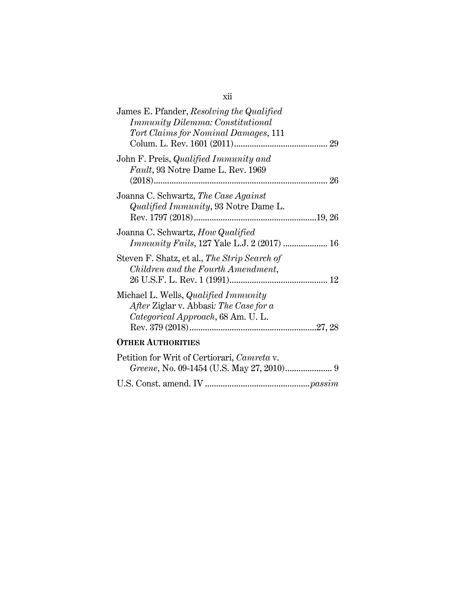| James E. Pfander, Resolving the Qualified<br><i>Immunity Dilemma: Constitutional</i><br>Tort Claims for Nominal Damages, 111 |
|------------------------------------------------------------------------------------------------------------------------------|
| John F. Preis, <i>Qualified Immunity and</i><br><i>Fault</i> , 93 Notre Dame L. Rev. 1969                                    |
| Joanna C. Schwartz, The Case Against<br><i>Qualified Immunity</i> , 93 Notre Dame L.                                         |
| Joanna C. Schwartz, How Qualified                                                                                            |
| Steven F. Shatz, et al., The Strip Search of<br>Children and the Fourth Amendment,                                           |
| Michael L. Wells, <i>Qualified Immunity</i><br>After Ziglar v. Abbasi: The Case for a<br>Categorical Approach, 68 Am. U. L.  |
| <b>OTHER AUTHORITIES</b>                                                                                                     |
| Petition for Writ of Certiorari, Camreta v.                                                                                  |

| Petition for writ of Certiorari, Camreta v. |  |
|---------------------------------------------|--|
|                                             |  |
|                                             |  |

xii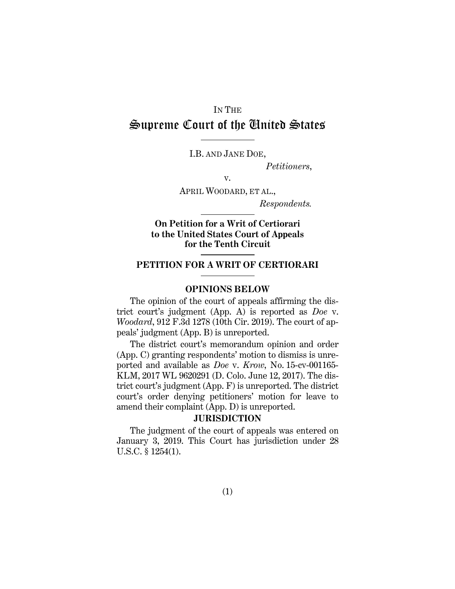# IN THE Supreme Court of the United States

I.B. AND JANE DOE,

Petitioners,

v.

APRIL WOODARD, ET AL.,

Respondents.

On Petition for a Writ of Certiorari to the United States Court of Appeals for the Tenth Circuit

## PETITION FOR A WRIT OF CERTIORARI

#### OPINIONS BELOW

The opinion of the court of appeals affirming the district court's judgment (App. A) is reported as Doe v. Woodard, 912 F.3d 1278 (10th Cir. 2019). The court of appeals' judgment (App. B) is unreported.

The district court's memorandum opinion and order (App. C) granting respondents' motion to dismiss is unreported and available as Doe v. Krow, No. 15-cv-001165- KLM, 2017 WL 9620291 (D. Colo. June 12, 2017). The district court's judgment (App. F) is unreported. The district court's order denying petitioners' motion for leave to amend their complaint (App. D) is unreported.

# **JURISDICTION**

The judgment of the court of appeals was entered on January 3, 2019. This Court has jurisdiction under 28 U.S.C. § 1254(1).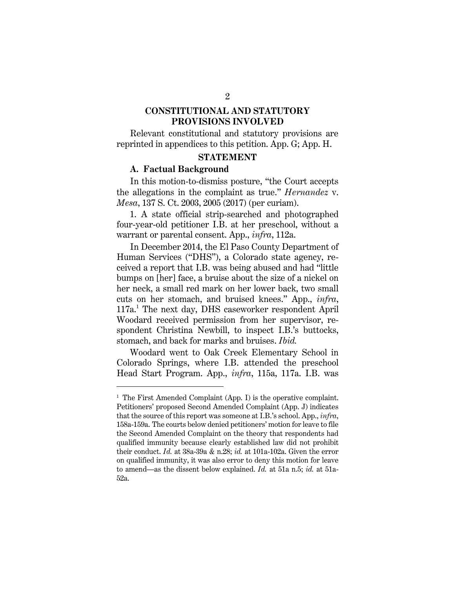## CONSTITUTIONAL AND STATUTORY PROVISIONS INVOLVED

Relevant constitutional and statutory provisions are reprinted in appendices to this petition. App. G; App. H.

#### STATEMENT

#### A. Factual Background

In this motion-to-dismiss posture, "the Court accepts the allegations in the complaint as true." Hernandez v. Mesa, 137 S. Ct. 2003, 2005 (2017) (per curiam).

1. A state official strip-searched and photographed four-year-old petitioner I.B. at her preschool, without a warrant or parental consent. App., *infra*, 112a.

In December 2014, the El Paso County Department of Human Services ("DHS"), a Colorado state agency, received a report that I.B. was being abused and had "little bumps on [her] face, a bruise about the size of a nickel on her neck, a small red mark on her lower back, two small cuts on her stomach, and bruised knees." App., infra, 117a.<sup>1</sup> The next day, DHS caseworker respondent April Woodard received permission from her supervisor, respondent Christina Newbill, to inspect I.B.'s buttocks, stomach, and back for marks and bruises. *Ibid.* 

Woodard went to Oak Creek Elementary School in Colorado Springs, where I.B. attended the preschool Head Start Program. App., infra, 115a, 117a. I.B. was

<sup>&</sup>lt;sup>1</sup> The First Amended Complaint (App. I) is the operative complaint. Petitioners' proposed Second Amended Complaint (App. J) indicates that the source of this report was someone at I.B.'s school. App., infra, 158a-159a. The courts below denied petitioners' motion for leave to file the Second Amended Complaint on the theory that respondents had qualified immunity because clearly established law did not prohibit their conduct. Id. at  $38a-39a \& n.28$ ; id. at  $101a-102a$ . Given the error on qualified immunity, it was also error to deny this motion for leave to amend—as the dissent below explained. Id. at 51a n.5; id. at 51a-52a.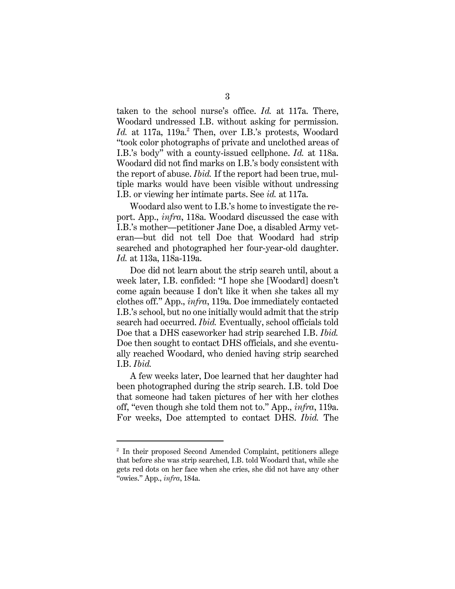taken to the school nurse's office. Id. at 117a. There, Woodard undressed I.B. without asking for permission. Id. at 117a, 119a.<sup>2</sup> Then, over I.B.'s protests, Woodard "took color photographs of private and unclothed areas of I.B.'s body" with a county-issued cellphone. Id. at 118a. Woodard did not find marks on I.B.'s body consistent with the report of abuse. Ibid. If the report had been true, multiple marks would have been visible without undressing I.B. or viewing her intimate parts. See id. at 117a.

Woodard also went to I.B.'s home to investigate the report. App., infra, 118a. Woodard discussed the case with I.B.'s mother—petitioner Jane Doe, a disabled Army veteran—but did not tell Doe that Woodard had strip searched and photographed her four-year-old daughter. Id. at 113a, 118a-119a.

Doe did not learn about the strip search until, about a week later, I.B. confided: "I hope she [Woodard] doesn't come again because I don't like it when she takes all my clothes off." App., infra, 119a. Doe immediately contacted I.B.'s school, but no one initially would admit that the strip search had occurred. *Ibid.* Eventually, school officials told Doe that a DHS caseworker had strip searched I.B. *Ibid.* Doe then sought to contact DHS officials, and she eventually reached Woodard, who denied having strip searched I.B. Ibid.

A few weeks later, Doe learned that her daughter had been photographed during the strip search. I.B. told Doe that someone had taken pictures of her with her clothes off, "even though she told them not to." App., infra, 119a. For weeks, Doe attempted to contact DHS. Ibid. The

<sup>2</sup> In their proposed Second Amended Complaint, petitioners allege that before she was strip searched, I.B. told Woodard that, while she gets red dots on her face when she cries, she did not have any other "owies." App., infra, 184a.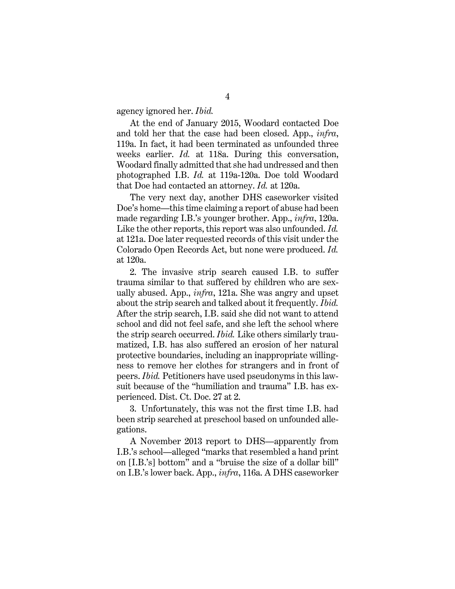agency ignored her. *Ibid.* 

At the end of January 2015, Woodard contacted Doe and told her that the case had been closed. App., infra, 119a. In fact, it had been terminated as unfounded three weeks earlier. Id. at 118a. During this conversation, Woodard finally admitted that she had undressed and then photographed I.B. Id. at 119a-120a. Doe told Woodard that Doe had contacted an attorney. Id. at 120a.

The very next day, another DHS caseworker visited Doe's home—this time claiming a report of abuse had been made regarding I.B.'s younger brother. App., infra, 120a. Like the other reports, this report was also unfounded. Id. at 121a. Doe later requested records of this visit under the Colorado Open Records Act, but none were produced. Id. at 120a.

2. The invasive strip search caused I.B. to suffer trauma similar to that suffered by children who are sexually abused. App.,  $\text{infra}$ , 121a. She was angry and upset about the strip search and talked about it frequently. Ibid. After the strip search, I.B. said she did not want to attend school and did not feel safe, and she left the school where the strip search occurred. *Ibid.* Like others similarly traumatized, I.B. has also suffered an erosion of her natural protective boundaries, including an inappropriate willingness to remove her clothes for strangers and in front of peers. Ibid. Petitioners have used pseudonyms in this lawsuit because of the "humiliation and trauma" I.B. has experienced. Dist. Ct. Doc. 27 at 2.

3. Unfortunately, this was not the first time I.B. had been strip searched at preschool based on unfounded allegations.

A November 2013 report to DHS—apparently from I.B.'s school—alleged "marks that resembled a hand print on [I.B.'s] bottom" and a "bruise the size of a dollar bill" on I.B.'s lower back. App., infra, 116a. A DHS caseworker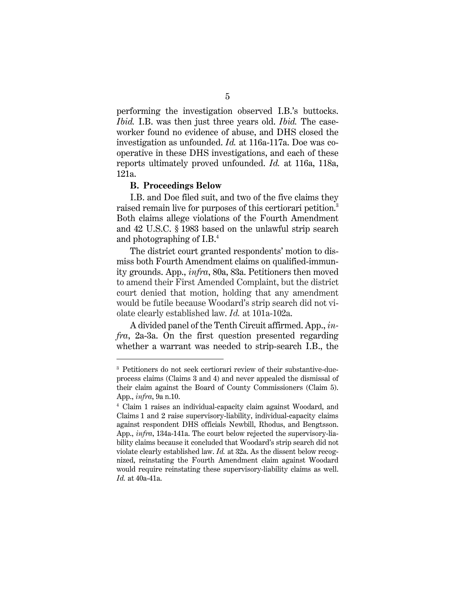performing the investigation observed I.B.'s buttocks. Ibid. I.B. was then just three years old. Ibid. The caseworker found no evidence of abuse, and DHS closed the investigation as unfounded. Id. at 116a-117a. Doe was cooperative in these DHS investigations, and each of these reports ultimately proved unfounded. Id. at 116a, 118a, 121a.

#### B. Proceedings Below

I.B. and Doe filed suit, and two of the five claims they raised remain live for purposes of this certiorari petition.<sup>3</sup> Both claims allege violations of the Fourth Amendment and 42 U.S.C. § 1983 based on the unlawful strip search and photographing of I.B.<sup>4</sup>

The district court granted respondents' motion to dismiss both Fourth Amendment claims on qualified-immunity grounds. App., infra, 80a, 83a. Petitioners then moved to amend their First Amended Complaint, but the district court denied that motion, holding that any amendment would be futile because Woodard's strip search did not violate clearly established law. Id. at 101a-102a.

A divided panel of the Tenth Circuit affirmed. App., infra, 2a-3a. On the first question presented regarding whether a warrant was needed to strip-search I.B., the

<sup>3</sup> Petitioners do not seek certiorari review of their substantive-dueprocess claims (Claims 3 and 4) and never appealed the dismissal of their claim against the Board of County Commissioners (Claim 5). App., infra, 9a n.10.

<sup>4</sup> Claim 1 raises an individual-capacity claim against Woodard, and Claims 1 and 2 raise supervisory-liability, individual-capacity claims against respondent DHS officials Newbill, Rhodus, and Bengtsson. App., infra, 134a-141a. The court below rejected the supervisory-liability claims because it concluded that Woodard's strip search did not violate clearly established law. Id. at 32a. As the dissent below recognized, reinstating the Fourth Amendment claim against Woodard would require reinstating these supervisory-liability claims as well. Id. at 40a-41a.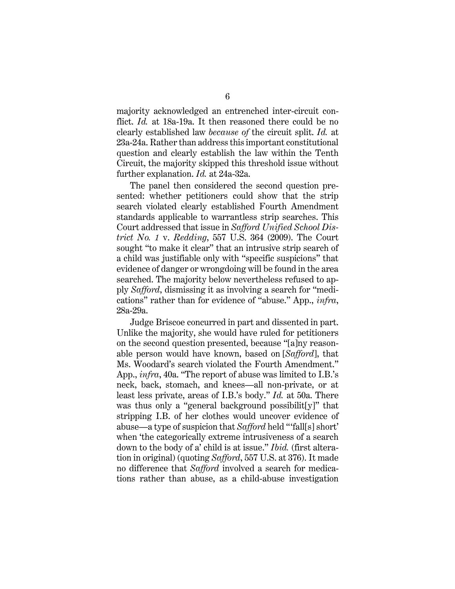majority acknowledged an entrenched inter-circuit conflict. Id. at 18a-19a. It then reasoned there could be no clearly established law because of the circuit split. Id. at 23a-24a. Rather than address this important constitutional question and clearly establish the law within the Tenth Circuit, the majority skipped this threshold issue without further explanation. *Id.* at 24a-32a.

The panel then considered the second question presented: whether petitioners could show that the strip search violated clearly established Fourth Amendment standards applicable to warrantless strip searches. This Court addressed that issue in Safford Unified School District No. 1 v. Redding, 557 U.S. 364 (2009). The Court sought "to make it clear" that an intrusive strip search of a child was justifiable only with "specific suspicions" that evidence of danger or wrongdoing will be found in the area searched. The majority below nevertheless refused to apply Safford, dismissing it as involving a search for "medications" rather than for evidence of "abuse." App., infra, 28a-29a.

Judge Briscoe concurred in part and dissented in part. Unlike the majority, she would have ruled for petitioners on the second question presented, because "[a]ny reasonable person would have known, based on [Safford], that Ms. Woodard's search violated the Fourth Amendment." App., infra, 40a. "The report of abuse was limited to I.B.'s neck, back, stomach, and knees—all non-private, or at least less private, areas of I.B.'s body." Id. at 50a. There was thus only a "general background possibilit[y]" that stripping I.B. of her clothes would uncover evidence of abuse—a type of suspicion that Safford held "'fall[s] short' when 'the categorically extreme intrusiveness of a search down to the body of a' child is at issue." *Ibid.* (first alteration in original) (quoting Safford, 557 U.S. at 376). It made no difference that Safford involved a search for medications rather than abuse, as a child-abuse investigation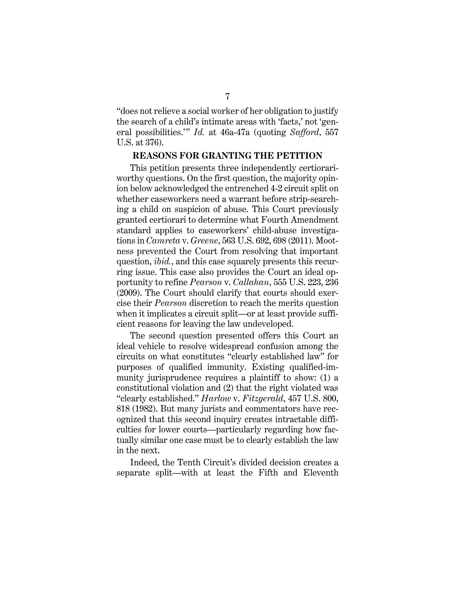"does not relieve a social worker of her obligation to justify the search of a child's intimate areas with 'facts,' not 'general possibilities." Id. at 46a-47a (quoting Safford, 557 U.S. at 376).

#### REASONS FOR GRANTING THE PETITION

This petition presents three independently certiorariworthy questions. On the first question, the majority opinion below acknowledged the entrenched 4-2 circuit split on whether caseworkers need a warrant before strip-searching a child on suspicion of abuse. This Court previously granted certiorari to determine what Fourth Amendment standard applies to caseworkers' child-abuse investigations in Camreta v. Greene, 563 U.S. 692, 698 (2011). Mootness prevented the Court from resolving that important question, *ibid.*, and this case squarely presents this recurring issue. This case also provides the Court an ideal opportunity to refine Pearson v. Callahan, 555 U.S. 223, 236 (2009). The Court should clarify that courts should exercise their Pearson discretion to reach the merits question when it implicates a circuit split—or at least provide sufficient reasons for leaving the law undeveloped.

The second question presented offers this Court an ideal vehicle to resolve widespread confusion among the circuits on what constitutes "clearly established law" for purposes of qualified immunity. Existing qualified-immunity jurisprudence requires a plaintiff to show: (1) a constitutional violation and (2) that the right violated was "clearly established." Harlow v. Fitzgerald, 457 U.S. 800, 818 (1982). But many jurists and commentators have recognized that this second inquiry creates intractable difficulties for lower courts—particularly regarding how factually similar one case must be to clearly establish the law in the next.

Indeed, the Tenth Circuit's divided decision creates a separate split—with at least the Fifth and Eleventh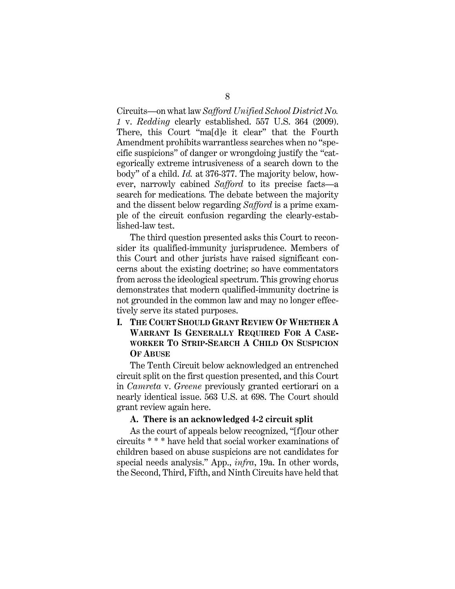Circuits—on what law Safford Unified School District No. 1 v. Redding clearly established. 557 U.S. 364 (2009). There, this Court "ma[d]e it clear" that the Fourth Amendment prohibits warrantless searches when no "specific suspicions" of danger or wrongdoing justify the "categorically extreme intrusiveness of a search down to the body" of a child. Id. at 376-377. The majority below, however, narrowly cabined Safford to its precise facts—a search for medications. The debate between the majority and the dissent below regarding Safford is a prime example of the circuit confusion regarding the clearly-established-law test.

The third question presented asks this Court to reconsider its qualified-immunity jurisprudence. Members of this Court and other jurists have raised significant concerns about the existing doctrine; so have commentators from across the ideological spectrum. This growing chorus demonstrates that modern qualified-immunity doctrine is not grounded in the common law and may no longer effectively serve its stated purposes.

# I. THE COURT SHOULD GRANT REVIEW OF WHETHER A WARRANT IS GENERALLY REQUIRED FOR A CASE-WORKER TO STRIP-SEARCH A CHILD ON SUSPICION OF ARUSE

The Tenth Circuit below acknowledged an entrenched circuit split on the first question presented, and this Court in Camreta v. Greene previously granted certiorari on a nearly identical issue. 563 U.S. at 698. The Court should grant review again here.

#### A. There is an acknowledged 4-2 circuit split

As the court of appeals below recognized, "[f]our other circuits \* \* \* have held that social worker examinations of children based on abuse suspicions are not candidates for special needs analysis." App., *infra*, 19a. In other words, the Second, Third, Fifth, and Ninth Circuits have held that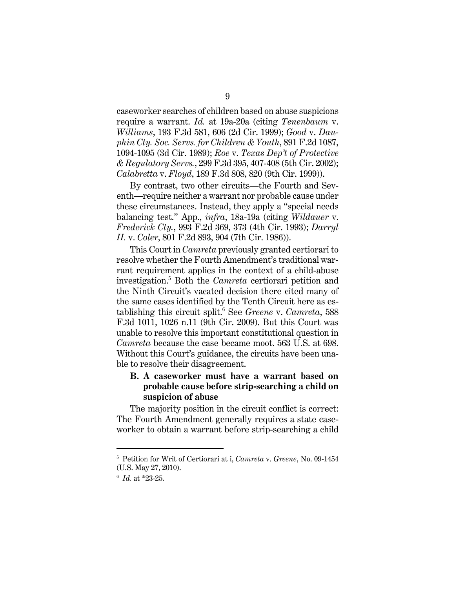caseworker searches of children based on abuse suspicions require a warrant. Id. at 19a-20a (citing Tenenbaum v. Williams, 193 F.3d 581, 606 (2d Cir. 1999); Good v. Dauphin Cty. Soc. Servs. for Children & Youth, 891 F.2d 1087, 1094-1095 (3d Cir. 1989); Roe v. Texas Dep't of Protective & Regulatory Servs., 299 F.3d 395, 407-408 (5th Cir. 2002); Calabretta v. Floyd, 189 F.3d 808, 820 (9th Cir. 1999)).

By contrast, two other circuits—the Fourth and Seventh—require neither a warrant nor probable cause under these circumstances. Instead, they apply a "special needs balancing test." App., infra, 18a-19a (citing Wildauer v. Frederick Cty., 993 F.2d 369, 373 (4th Cir. 1993); Darryl H. v. Coler, 801 F.2d 893, 904 (7th Cir. 1986)).

This Court in Camreta previously granted certiorari to resolve whether the Fourth Amendment's traditional warrant requirement applies in the context of a child-abuse investigation.<sup>5</sup> Both the *Camreta* certiorari petition and the Ninth Circuit's vacated decision there cited many of the same cases identified by the Tenth Circuit here as establishing this circuit split.<sup>6</sup> See Greene v. Camreta, 588 F.3d 1011, 1026 n.11 (9th Cir. 2009). But this Court was unable to resolve this important constitutional question in Camreta because the case became moot. 563 U.S. at 698. Without this Court's guidance, the circuits have been unable to resolve their disagreement.

# B. A caseworker must have a warrant based on probable cause before strip-searching a child on suspicion of abuse

The majority position in the circuit conflict is correct: The Fourth Amendment generally requires a state caseworker to obtain a warrant before strip-searching a child

<sup>&</sup>lt;sup>5</sup> Petition for Writ of Certiorari at i, Camreta v. Greene, No. 09-1454 (U.S. May 27, 2010).

 $6$  *Id.* at \*23-25.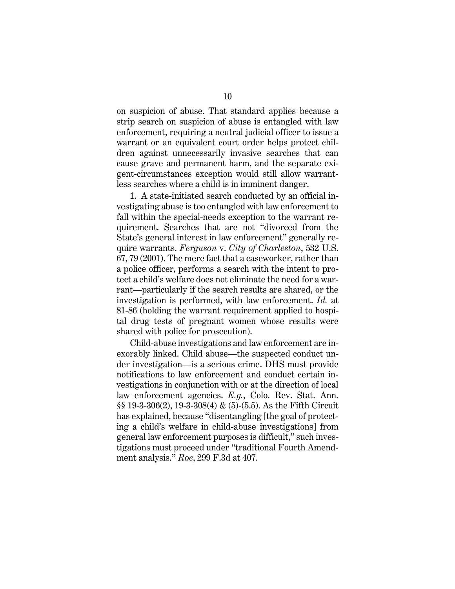on suspicion of abuse. That standard applies because a strip search on suspicion of abuse is entangled with law enforcement, requiring a neutral judicial officer to issue a warrant or an equivalent court order helps protect children against unnecessarily invasive searches that can cause grave and permanent harm, and the separate exigent-circumstances exception would still allow warrantless searches where a child is in imminent danger.

1. A state-initiated search conducted by an official investigating abuse is too entangled with law enforcement to fall within the special-needs exception to the warrant requirement. Searches that are not "divorced from the State's general interest in law enforcement" generally require warrants. Ferguson v. City of Charleston, 532 U.S. 67, 79 (2001). The mere fact that a caseworker, rather than a police officer, performs a search with the intent to protect a child's welfare does not eliminate the need for a warrant—particularly if the search results are shared, or the investigation is performed, with law enforcement. Id. at 81-86 (holding the warrant requirement applied to hospital drug tests of pregnant women whose results were shared with police for prosecution).

Child-abuse investigations and law enforcement are inexorably linked. Child abuse—the suspected conduct under investigation—is a serious crime. DHS must provide notifications to law enforcement and conduct certain investigations in conjunction with or at the direction of local law enforcement agencies. E.g., Colo. Rev. Stat. Ann. §§ 19-3-306(2), 19-3-308(4) & (5)-(5.5). As the Fifth Circuit has explained, because "disentangling [the goal of protecting a child's welfare in child-abuse investigations] from general law enforcement purposes is difficult," such investigations must proceed under "traditional Fourth Amendment analysis." Roe, 299 F.3d at 407.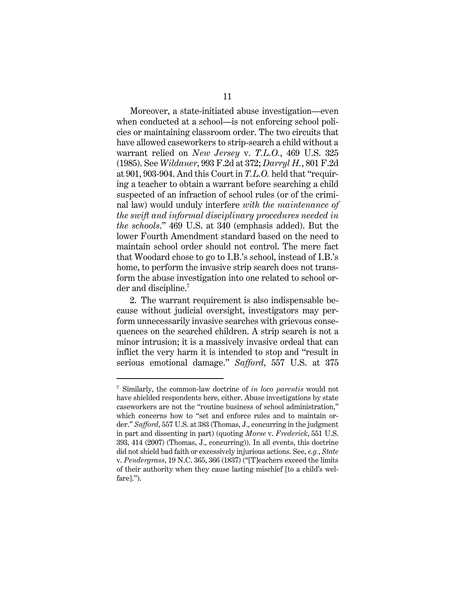Moreover, a state-initiated abuse investigation—even when conducted at a school—is not enforcing school policies or maintaining classroom order. The two circuits that have allowed caseworkers to strip-search a child without a warrant relied on *New Jersey* v. T.L.O., 469 U.S. 325 (1985). See Wildauer, 993 F.2d at 372; Darryl H., 801 F.2d at 901, 903-904. And this Court in T.L.O. held that "requiring a teacher to obtain a warrant before searching a child suspected of an infraction of school rules (or of the criminal law) would unduly interfere with the maintenance of the swift and informal disciplinary procedures needed in the schools." 469 U.S. at 340 (emphasis added). But the lower Fourth Amendment standard based on the need to maintain school order should not control. The mere fact that Woodard chose to go to I.B.'s school, instead of I.B.'s home, to perform the invasive strip search does not transform the abuse investigation into one related to school order and discipline.<sup>7</sup>

2. The warrant requirement is also indispensable because without judicial oversight, investigators may perform unnecessarily invasive searches with grievous consequences on the searched children. A strip search is not a minor intrusion; it is a massively invasive ordeal that can inflict the very harm it is intended to stop and "result in serious emotional damage." Safford, 557 U.S. at 375

<sup>&</sup>lt;sup>7</sup> Similarly, the common-law doctrine of in loco parentis would not have shielded respondents here, either. Abuse investigations by state caseworkers are not the "routine business of school administration," which concerns how to "set and enforce rules and to maintain order." Safford, 557 U.S. at 383 (Thomas, J., concurring in the judgment in part and dissenting in part) (quoting Morse v. Frederick, 551 U.S. 393, 414 (2007) (Thomas, J., concurring)). In all events, this doctrine did not shield bad faith or excessively injurious actions. See, e.g., State v. Pendergrass, 19 N.C. 365, 366 (1837) ("[T]eachers exceed the limits of their authority when they cause lasting mischief [to a child's welfare].").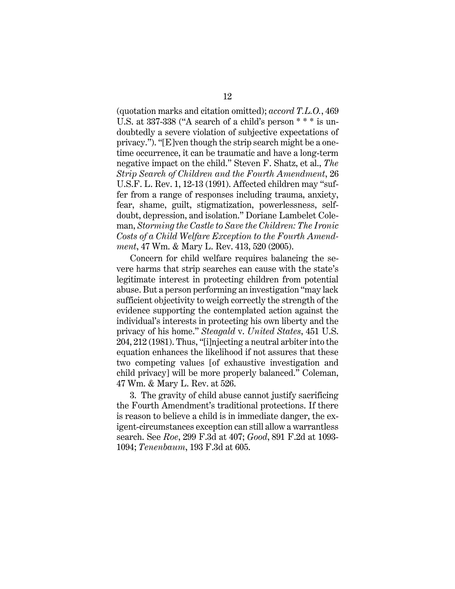(quotation marks and citation omitted); accord T.L.O., 469 U.S. at 337-338 ("A search of a child's person \* \* \* is undoubtedly a severe violation of subjective expectations of privacy."). "[E]ven though the strip search might be a onetime occurrence, it can be traumatic and have a long-term negative impact on the child." Steven F. Shatz, et al., The Strip Search of Children and the Fourth Amendment, 26 U.S.F. L. Rev. 1, 12-13 (1991). Affected children may "suffer from a range of responses including trauma, anxiety, fear, shame, guilt, stigmatization, powerlessness, selfdoubt, depression, and isolation." Doriane Lambelet Coleman, Storming the Castle to Save the Children: The Ironic Costs of a Child Welfare Exception to the Fourth Amendment, 47 Wm. & Mary L. Rev. 413, 520 (2005).

Concern for child welfare requires balancing the severe harms that strip searches can cause with the state's legitimate interest in protecting children from potential abuse. But a person performing an investigation "may lack sufficient objectivity to weigh correctly the strength of the evidence supporting the contemplated action against the individual's interests in protecting his own liberty and the privacy of his home." Steagald v. United States, 451 U.S. 204, 212 (1981). Thus, "[i]njecting a neutral arbiter into the equation enhances the likelihood if not assures that these two competing values [of exhaustive investigation and child privacy] will be more properly balanced." Coleman, 47 Wm. & Mary L. Rev. at 526.

3. The gravity of child abuse cannot justify sacrificing the Fourth Amendment's traditional protections. If there is reason to believe a child is in immediate danger, the exigent-circumstances exception can still allow a warrantless search. See Roe, 299 F.3d at 407; Good, 891 F.2d at 1093- 1094; Tenenbaum, 193 F.3d at 605.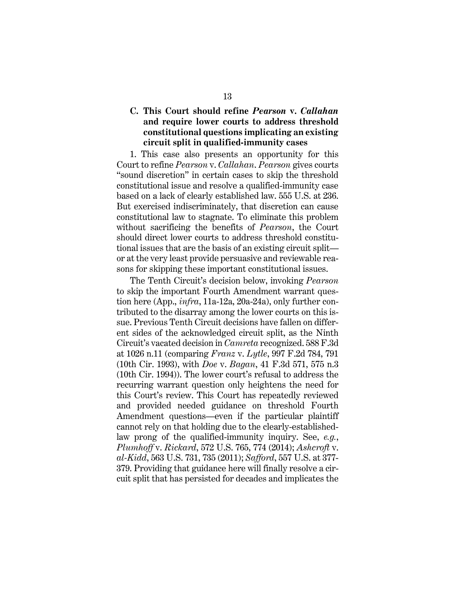# C. This Court should refine Pearson v. Callahan and require lower courts to address threshold constitutional questions implicating an existing circuit split in qualified-immunity cases

1. This case also presents an opportunity for this Court to refine Pearson v. Callahan. Pearson gives courts "sound discretion" in certain cases to skip the threshold constitutional issue and resolve a qualified-immunity case based on a lack of clearly established law. 555 U.S. at 236. But exercised indiscriminately, that discretion can cause constitutional law to stagnate. To eliminate this problem without sacrificing the benefits of *Pearson*, the Court should direct lower courts to address threshold constitutional issues that are the basis of an existing circuit split or at the very least provide persuasive and reviewable reasons for skipping these important constitutional issues.

The Tenth Circuit's decision below, invoking Pearson to skip the important Fourth Amendment warrant question here (App., infra, 11a-12a, 20a-24a), only further contributed to the disarray among the lower courts on this issue. Previous Tenth Circuit decisions have fallen on different sides of the acknowledged circuit split, as the Ninth Circuit's vacated decision in Camreta recognized. 588 F.3d at 1026 n.11 (comparing *Franz v. Lytle*, 997 F.2d 784, 791 (10th Cir. 1993), with Doe v. Bagan, 41 F.3d 571, 575 n.3 (10th Cir. 1994)). The lower court's refusal to address the recurring warrant question only heightens the need for this Court's review. This Court has repeatedly reviewed and provided needed guidance on threshold Fourth Amendment questions—even if the particular plaintiff cannot rely on that holding due to the clearly-establishedlaw prong of the qualified-immunity inquiry. See, e.g., Plumhoff v. Rickard, 572 U.S. 765, 774 (2014); Ashcroft v. al-Kidd, 563 U.S. 731, 735 (2011); Safford, 557 U.S. at 377- 379. Providing that guidance here will finally resolve a circuit split that has persisted for decades and implicates the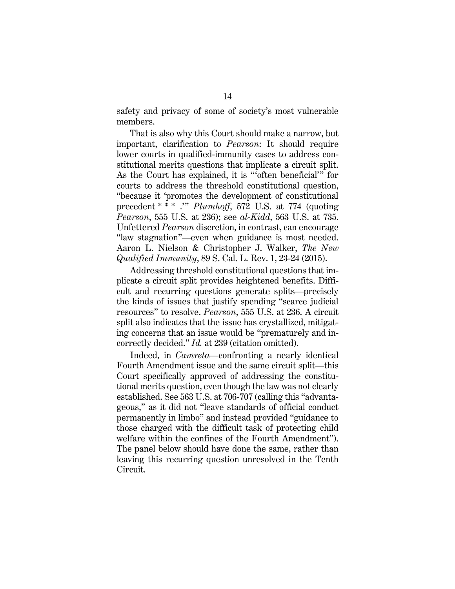safety and privacy of some of society's most vulnerable members.

That is also why this Court should make a narrow, but important, clarification to Pearson: It should require lower courts in qualified-immunity cases to address constitutional merits questions that implicate a circuit split. As the Court has explained, it is "'often beneficial'" for courts to address the threshold constitutional question, "because it 'promotes the development of constitutional precedent \* \* \* .'" Plumhoff, 572 U.S. at 774 (quoting Pearson, 555 U.S. at 236); see al-Kidd, 563 U.S. at 735. Unfettered Pearson discretion, in contrast, can encourage "law stagnation"—even when guidance is most needed. Aaron L. Nielson & Christopher J. Walker, The New Qualified Immunity, 89 S. Cal. L. Rev. 1, 23-24 (2015).

Addressing threshold constitutional questions that implicate a circuit split provides heightened benefits. Difficult and recurring questions generate splits—precisely the kinds of issues that justify spending "scarce judicial resources" to resolve. Pearson, 555 U.S. at 236. A circuit split also indicates that the issue has crystallized, mitigating concerns that an issue would be "prematurely and incorrectly decided." Id. at 239 (citation omitted).

Indeed, in Camreta—confronting a nearly identical Fourth Amendment issue and the same circuit split—this Court specifically approved of addressing the constitutional merits question, even though the law was not clearly established. See 563 U.S. at 706-707 (calling this "advantageous," as it did not "leave standards of official conduct permanently in limbo" and instead provided "guidance to those charged with the difficult task of protecting child welfare within the confines of the Fourth Amendment"). The panel below should have done the same, rather than leaving this recurring question unresolved in the Tenth Circuit.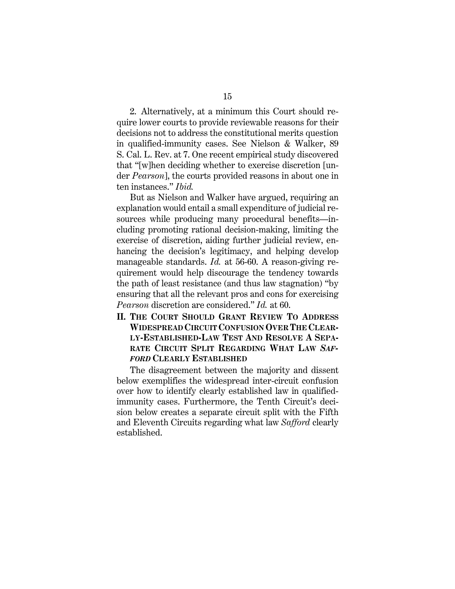2. Alternatively, at a minimum this Court should require lower courts to provide reviewable reasons for their decisions not to address the constitutional merits question in qualified-immunity cases. See Nielson & Walker, 89 S. Cal. L. Rev. at 7. One recent empirical study discovered that "[w]hen deciding whether to exercise discretion [under Pearson], the courts provided reasons in about one in ten instances." Ibid.

But as Nielson and Walker have argued, requiring an explanation would entail a small expenditure of judicial resources while producing many procedural benefits—including promoting rational decision-making, limiting the exercise of discretion, aiding further judicial review, enhancing the decision's legitimacy, and helping develop manageable standards. Id. at 56-60. A reason-giving requirement would help discourage the tendency towards the path of least resistance (and thus law stagnation) "by ensuring that all the relevant pros and cons for exercising Pearson discretion are considered." Id. at 60.

II. THE COURT SHOULD GRANT REVIEW TO ADDRESS WIDESPREAD CIRCUIT CONFUSION OVER THE CLEAR-LY-ESTABLISHED-LAW TEST AND RESOLVE A SEPA-RATE CIRCUIT SPLIT REGARDING WHAT LAW SAF-FORD CLEARLY ESTABLISHED

The disagreement between the majority and dissent below exemplifies the widespread inter-circuit confusion over how to identify clearly established law in qualifiedimmunity cases. Furthermore, the Tenth Circuit's decision below creates a separate circuit split with the Fifth and Eleventh Circuits regarding what law Safford clearly established.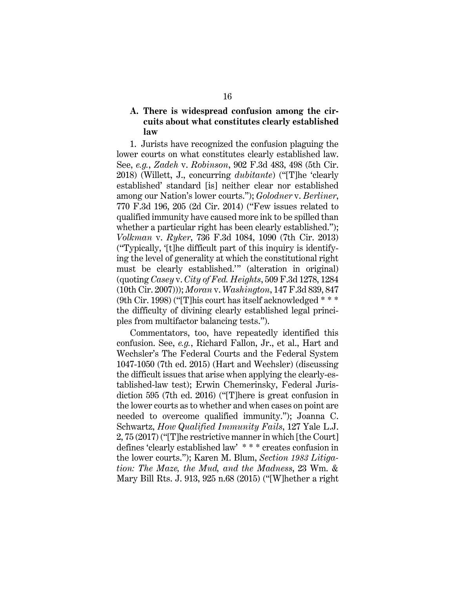# A. There is widespread confusion among the circuits about what constitutes clearly established law

1. Jurists have recognized the confusion plaguing the lower courts on what constitutes clearly established law. See, e.g., Zadeh v. Robinson, 902 F.3d 483, 498 (5th Cir. 2018) (Willett, J., concurring *dubitante*) ("[T]he 'clearly established' standard [is] neither clear nor established among our Nation's lower courts."); Golodner v. Berliner, 770 F.3d 196, 205 (2d Cir. 2014) ("Few issues related to qualified immunity have caused more ink to be spilled than whether a particular right has been clearly established."); Volkman v. Ryker, 736 F.3d 1084, 1090 (7th Cir. 2013) ("Typically, '[t]he difficult part of this inquiry is identifying the level of generality at which the constitutional right must be clearly established.'" (alteration in original) (quoting Casey v. City of Fed. Heights, 509 F.3d 1278, 1284 (10th Cir. 2007))); Moran v. Washington, 147 F.3d 839, 847 (9th Cir. 1998) ("[T]his court has itself acknowledged \* \* \* the difficulty of divining clearly established legal principles from multifactor balancing tests.").

Commentators, too, have repeatedly identified this confusion. See, e.g., Richard Fallon, Jr., et al., Hart and Wechsler's The Federal Courts and the Federal System 1047-1050 (7th ed. 2015) (Hart and Wechsler) (discussing the difficult issues that arise when applying the clearly-established-law test); Erwin Chemerinsky, Federal Jurisdiction 595 (7th ed. 2016) ("[T]here is great confusion in the lower courts as to whether and when cases on point are needed to overcome qualified immunity."); Joanna C. Schwartz, How Qualified Immunity Fails, 127 Yale L.J. 2, 75 (2017) ("[T]he restrictive manner in which [the Court] defines 'clearly established law' \* \* \* creates confusion in the lower courts."); Karen M. Blum, Section 1983 Litigation: The Maze, the Mud, and the Madness, 23 Wm. & Mary Bill Rts. J. 913, 925 n.68 (2015) ("[W]hether a right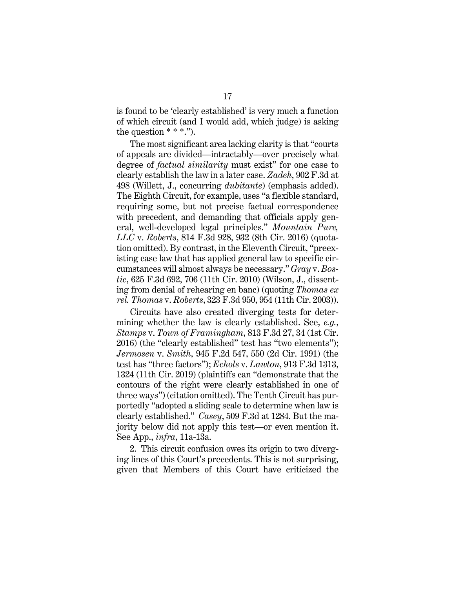is found to be 'clearly established' is very much a function of which circuit (and I would add, which judge) is asking the question  $***$ .").

The most significant area lacking clarity is that "courts of appeals are divided—intractably—over precisely what degree of *factual similarity* must exist" for one case to clearly establish the law in a later case. Zadeh, 902 F.3d at 498 (Willett, J., concurring dubitante) (emphasis added). The Eighth Circuit, for example, uses "a flexible standard, requiring some, but not precise factual correspondence with precedent, and demanding that officials apply general, well-developed legal principles." Mountain Pure, LLC v. Roberts, 814 F.3d 928, 932 (8th Cir. 2016) (quotation omitted). By contrast, in the Eleventh Circuit, "preexisting case law that has applied general law to specific circumstances will almost always be necessary." Gray v. Bostic, 625 F.3d 692, 706 (11th Cir. 2010) (Wilson, J., dissenting from denial of rehearing en banc) (quoting Thomas ex rel. Thomas v. Roberts, 323 F.3d 950, 954 (11th Cir. 2003)).

Circuits have also created diverging tests for determining whether the law is clearly established. See, *e.g.*, Stamps v. Town of Framingham, 813 F.3d 27, 34 (1st Cir. 2016) (the "clearly established" test has "two elements"); Jermosen v. Smith, 945 F.2d 547, 550 (2d Cir. 1991) (the test has "three factors"); Echols v. Lawton, 913 F.3d 1313, 1324 (11th Cir. 2019) (plaintiffs can "demonstrate that the contours of the right were clearly established in one of three ways") (citation omitted). The Tenth Circuit has purportedly "adopted a sliding scale to determine when law is clearly established." Casey, 509 F.3d at 1284. But the majority below did not apply this test—or even mention it. See App., infra, 11a-13a.

2. This circuit confusion owes its origin to two diverging lines of this Court's precedents. This is not surprising, given that Members of this Court have criticized the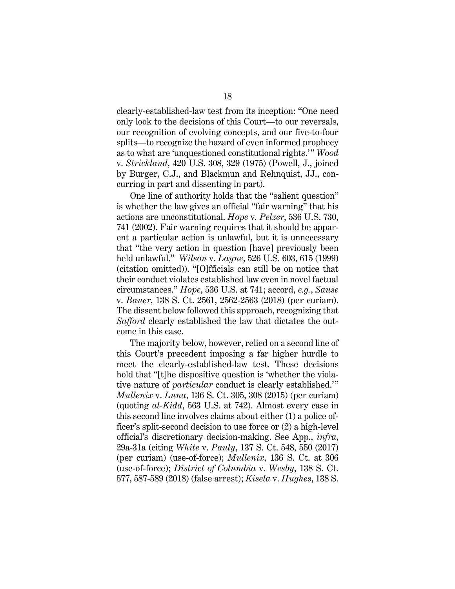clearly-established-law test from its inception: "One need only look to the decisions of this Court—to our reversals, our recognition of evolving concepts, and our five-to-four splits—to recognize the hazard of even informed prophecy as to what are 'unquestioned constitutional rights.'" Wood v. Strickland, 420 U.S. 308, 329 (1975) (Powell, J., joined by Burger, C.J., and Blackmun and Rehnquist, JJ., concurring in part and dissenting in part).

One line of authority holds that the "salient question" is whether the law gives an official "fair warning" that his actions are unconstitutional. Hope v. Pelzer, 536 U.S. 730, 741 (2002). Fair warning requires that it should be apparent a particular action is unlawful, but it is unnecessary that "the very action in question [have] previously been held unlawful." Wilson v. Layne, 526 U.S. 603, 615 (1999) (citation omitted)). "[O]fficials can still be on notice that their conduct violates established law even in novel factual circumstances." Hope, 536 U.S. at 741; accord, e.g., Sause v. Bauer, 138 S. Ct. 2561, 2562-2563 (2018) (per curiam). The dissent below followed this approach, recognizing that Safford clearly established the law that dictates the outcome in this case.

The majority below, however, relied on a second line of this Court's precedent imposing a far higher hurdle to meet the clearly-established-law test. These decisions hold that "[t]he dispositive question is 'whether the violative nature of particular conduct is clearly established.'" Mullenix v. Luna, 136 S. Ct. 305, 308 (2015) (per curiam) (quoting al-Kidd, 563 U.S. at 742). Almost every case in this second line involves claims about either (1) a police officer's split-second decision to use force or (2) a high-level official's discretionary decision-making. See App., infra, 29a-31a (citing White v. Pauly, 137 S. Ct. 548, 550 (2017) (per curiam) (use-of-force); Mullenix, 136 S. Ct. at 306 (use-of-force); District of Columbia v. Wesby, 138 S. Ct. 577, 587-589 (2018) (false arrest); Kisela v. Hughes, 138 S.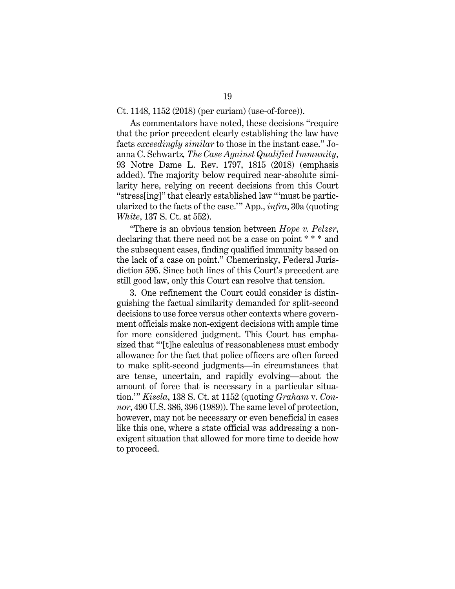As commentators have noted, these decisions "require that the prior precedent clearly establishing the law have facts exceedingly similar to those in the instant case." Joanna C. Schwartz, The Case Against Qualified Immunity, 93 Notre Dame L. Rev. 1797, 1815 (2018) (emphasis added). The majority below required near-absolute similarity here, relying on recent decisions from this Court "stress[ing]" that clearly established law "'must be particularized to the facts of the case.'" App., infra, 30a (quoting White, 137 S. Ct. at 552).

"There is an obvious tension between Hope v. Pelzer, declaring that there need not be a case on point \* \* \* and the subsequent cases, finding qualified immunity based on the lack of a case on point." Chemerinsky, Federal Jurisdiction 595. Since both lines of this Court's precedent are still good law, only this Court can resolve that tension.

3. One refinement the Court could consider is distinguishing the factual similarity demanded for split-second decisions to use force versus other contexts where government officials make non-exigent decisions with ample time for more considered judgment. This Court has emphasized that "'[t]he calculus of reasonableness must embody allowance for the fact that police officers are often forced to make split-second judgments—in circumstances that are tense, uncertain, and rapidly evolving—about the amount of force that is necessary in a particular situation.'" Kisela, 138 S. Ct. at 1152 (quoting Graham v. Con*nor*, 490 U.S. 386, 396 (1989)). The same level of protection, however, may not be necessary or even beneficial in cases like this one, where a state official was addressing a nonexigent situation that allowed for more time to decide how to proceed.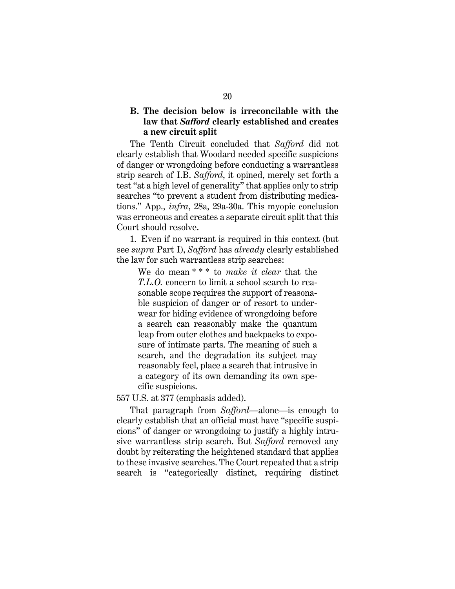# B. The decision below is irreconcilable with the law that Safford clearly established and creates a new circuit split

The Tenth Circuit concluded that Safford did not clearly establish that Woodard needed specific suspicions of danger or wrongdoing before conducting a warrantless strip search of I.B. Safford, it opined, merely set forth a test "at a high level of generality" that applies only to strip searches "to prevent a student from distributing medications." App., infra, 28a, 29a-30a. This myopic conclusion was erroneous and creates a separate circuit split that this Court should resolve.

1. Even if no warrant is required in this context (but see *supra* Part I), Safford has already clearly established the law for such warrantless strip searches:

We do mean  $***$  to make it clear that the T.L.O. concern to limit a school search to reasonable scope requires the support of reasonable suspicion of danger or of resort to underwear for hiding evidence of wrongdoing before a search can reasonably make the quantum leap from outer clothes and backpacks to exposure of intimate parts. The meaning of such a search, and the degradation its subject may reasonably feel, place a search that intrusive in a category of its own demanding its own specific suspicions.

557 U.S. at 377 (emphasis added).

That paragraph from Safford—alone—is enough to clearly establish that an official must have "specific suspicions" of danger or wrongdoing to justify a highly intrusive warrantless strip search. But Safford removed any doubt by reiterating the heightened standard that applies to these invasive searches. The Court repeated that a strip search is "categorically distinct, requiring distinct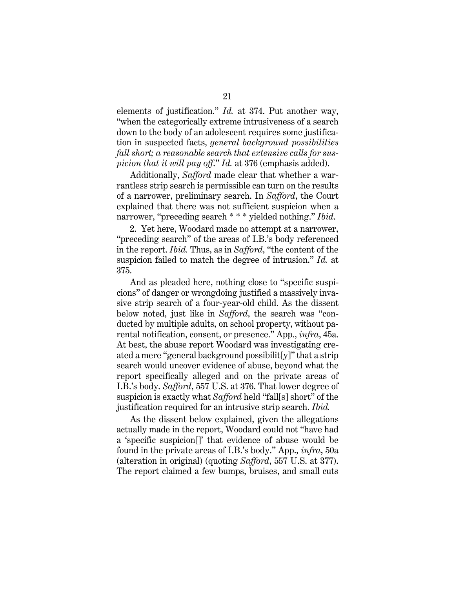elements of justification." Id. at 374. Put another way, "when the categorically extreme intrusiveness of a search down to the body of an adolescent requires some justification in suspected facts, general background possibilities fall short; a reasonable search that extensive calls for suspicion that it will pay off." Id. at 376 (emphasis added).

Additionally, Safford made clear that whether a warrantless strip search is permissible can turn on the results of a narrower, preliminary search. In Safford, the Court explained that there was not sufficient suspicion when a narrower, "preceding search \* \* \* yielded nothing." Ibid.

2. Yet here, Woodard made no attempt at a narrower, "preceding search" of the areas of I.B.'s body referenced in the report. Ibid. Thus, as in Safford, "the content of the suspicion failed to match the degree of intrusion." Id. at 375.

And as pleaded here, nothing close to "specific suspicions" of danger or wrongdoing justified a massively invasive strip search of a four-year-old child. As the dissent below noted, just like in Safford, the search was "conducted by multiple adults, on school property, without parental notification, consent, or presence." App., infra, 45a. At best, the abuse report Woodard was investigating created a mere "general background possibilit[y]" that a strip search would uncover evidence of abuse, beyond what the report specifically alleged and on the private areas of I.B.'s body. Safford, 557 U.S. at 376. That lower degree of suspicion is exactly what Safford held "fall[s] short" of the justification required for an intrusive strip search. Ibid.

As the dissent below explained, given the allegations actually made in the report, Woodard could not "have had a 'specific suspicion[]' that evidence of abuse would be found in the private areas of I.B.'s body." App., infra, 50a (alteration in original) (quoting Safford, 557 U.S. at 377). The report claimed a few bumps, bruises, and small cuts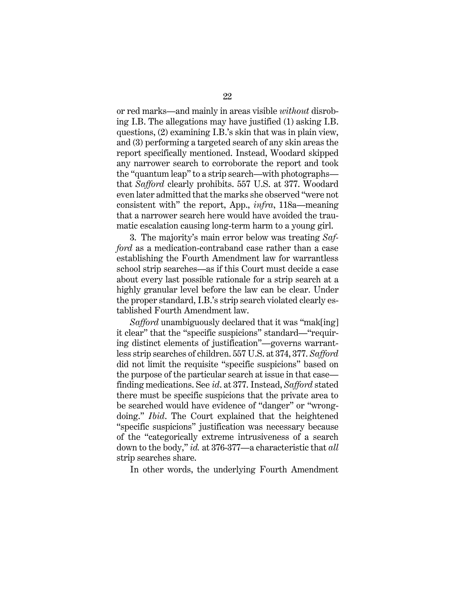or red marks—and mainly in areas visible without disrobing I.B. The allegations may have justified (1) asking I.B. questions, (2) examining I.B.'s skin that was in plain view, and (3) performing a targeted search of any skin areas the report specifically mentioned. Instead, Woodard skipped any narrower search to corroborate the report and took the "quantum leap" to a strip search—with photographs that Safford clearly prohibits. 557 U.S. at 377. Woodard even later admitted that the marks she observed "were not consistent with" the report, App., infra, 118a—meaning that a narrower search here would have avoided the traumatic escalation causing long-term harm to a young girl.

3. The majority's main error below was treating Safford as a medication-contraband case rather than a case establishing the Fourth Amendment law for warrantless school strip searches—as if this Court must decide a case about every last possible rationale for a strip search at a highly granular level before the law can be clear. Under the proper standard, I.B.'s strip search violated clearly established Fourth Amendment law.

Safford unambiguously declared that it was "mak[ing] it clear" that the "specific suspicions" standard—"requiring distinct elements of justification"—governs warrantless strip searches of children. 557 U.S. at 374, 377. Safford did not limit the requisite "specific suspicions" based on the purpose of the particular search at issue in that case finding medications. See id. at 377. Instead, Safford stated there must be specific suspicions that the private area to be searched would have evidence of "danger" or "wrongdoing." Ibid. The Court explained that the heightened "specific suspicions" justification was necessary because of the "categorically extreme intrusiveness of a search down to the body," id. at 376-377—a characteristic that all strip searches share.

In other words, the underlying Fourth Amendment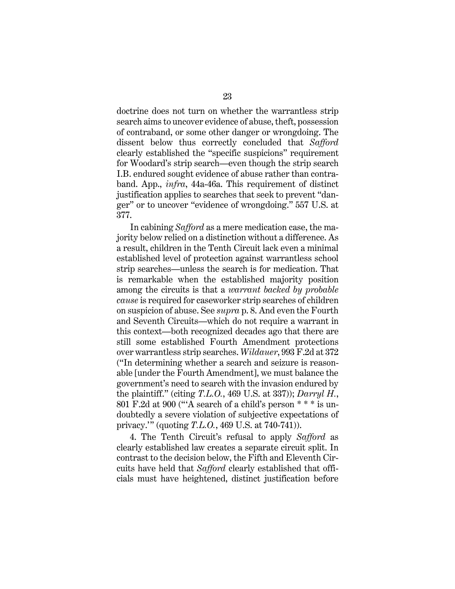doctrine does not turn on whether the warrantless strip search aims to uncover evidence of abuse, theft, possession of contraband, or some other danger or wrongdoing. The dissent below thus correctly concluded that Safford clearly established the "specific suspicions" requirement for Woodard's strip search—even though the strip search I.B. endured sought evidence of abuse rather than contraband. App., infra, 44a-46a. This requirement of distinct justification applies to searches that seek to prevent "danger" or to uncover "evidence of wrongdoing." 557 U.S. at 377.

In cabining Safford as a mere medication case, the majority below relied on a distinction without a difference. As a result, children in the Tenth Circuit lack even a minimal established level of protection against warrantless school strip searches—unless the search is for medication. That is remarkable when the established majority position among the circuits is that a warrant backed by probable cause is required for caseworker strip searches of children on suspicion of abuse. See supra p. 8. And even the Fourth and Seventh Circuits—which do not require a warrant in this context—both recognized decades ago that there are still some established Fourth Amendment protections over warrantless strip searches. Wildauer, 993 F.2d at 372 ("In determining whether a search and seizure is reasonable [under the Fourth Amendment], we must balance the government's need to search with the invasion endured by the plaintiff." (citing  $T.L.O., 469$  U.S. at 337)); Darryl H., 801 F.2d at 900 ("'A search of a child's person \* \* \* is undoubtedly a severe violation of subjective expectations of privacy.'" (quoting T.L.O., 469 U.S. at 740-741)).

4. The Tenth Circuit's refusal to apply Safford as clearly established law creates a separate circuit split. In contrast to the decision below, the Fifth and Eleventh Circuits have held that Safford clearly established that officials must have heightened, distinct justification before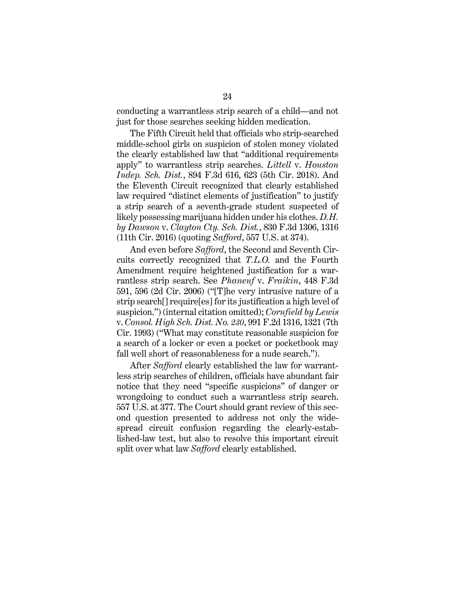conducting a warrantless strip search of a child—and not just for those searches seeking hidden medication.

The Fifth Circuit held that officials who strip-searched middle-school girls on suspicion of stolen money violated the clearly established law that "additional requirements apply" to warrantless strip searches. Littell v. Houston Indep. Sch. Dist., 894 F.3d 616, 623 (5th Cir. 2018). And the Eleventh Circuit recognized that clearly established law required "distinct elements of justification" to justify a strip search of a seventh-grade student suspected of likely possessing marijuana hidden under his clothes. D.H. by Dawson v. Clayton Cty. Sch. Dist., 830 F.3d 1306, 1316 (11th Cir. 2016) (quoting Safford, 557 U.S. at 374).

And even before Safford, the Second and Seventh Circuits correctly recognized that T.L.O. and the Fourth Amendment require heightened justification for a warrantless strip search. See Phaneuf v. Fraikin, 448 F.3d 591, 596 (2d Cir. 2006) ("[T]he very intrusive nature of a strip search[] require[es] for its justification a high level of suspicion.") (internal citation omitted); Cornfield by Lewis v. Consol. High Sch. Dist. No. 230, 991 F.2d 1316, 1321 (7th Cir. 1993) ("What may constitute reasonable suspicion for a search of a locker or even a pocket or pocketbook may fall well short of reasonableness for a nude search.").

After Safford clearly established the law for warrantless strip searches of children, officials have abundant fair notice that they need "specific suspicions" of danger or wrongdoing to conduct such a warrantless strip search. 557 U.S. at 377. The Court should grant review of this second question presented to address not only the widespread circuit confusion regarding the clearly-established-law test, but also to resolve this important circuit split over what law Safford clearly established.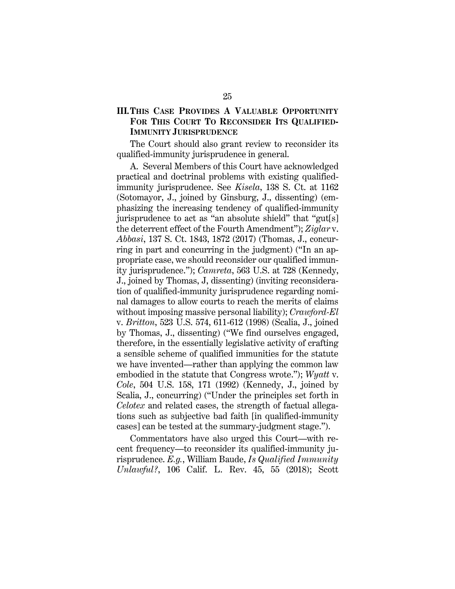# III.THIS CASE PROVIDES A VALUABLE OPPORTUNITY FOR THIS COURT TO RECONSIDER ITS QUALIFIED-IMMUNITY JURISPRUDENCE

The Court should also grant review to reconsider its qualified-immunity jurisprudence in general.

A. Several Members of this Court have acknowledged practical and doctrinal problems with existing qualifiedimmunity jurisprudence. See *Kisela*, 138 S. Ct. at 1162 (Sotomayor, J., joined by Ginsburg, J., dissenting) (emphasizing the increasing tendency of qualified-immunity jurisprudence to act as "an absolute shield" that "gut[s] the deterrent effect of the Fourth Amendment"); Ziglar v. Abbasi, 137 S. Ct. 1843, 1872 (2017) (Thomas, J., concurring in part and concurring in the judgment) ("In an appropriate case, we should reconsider our qualified immunity jurisprudence."); Camreta, 563 U.S. at 728 (Kennedy, J., joined by Thomas, J, dissenting) (inviting reconsideration of qualified-immunity jurisprudence regarding nominal damages to allow courts to reach the merits of claims without imposing massive personal liability); Crawford-El v. Britton, 523 U.S. 574, 611-612 (1998) (Scalia, J., joined by Thomas, J., dissenting) ("We find ourselves engaged, therefore, in the essentially legislative activity of crafting a sensible scheme of qualified immunities for the statute we have invented—rather than applying the common law embodied in the statute that Congress wrote."); Wyatt v. Cole, 504 U.S. 158, 171 (1992) (Kennedy, J., joined by Scalia, J., concurring) ("Under the principles set forth in Celotex and related cases, the strength of factual allegations such as subjective bad faith [in qualified-immunity cases] can be tested at the summary-judgment stage.").

Commentators have also urged this Court—with recent frequency—to reconsider its qualified-immunity jurisprudence. E.g., William Baude, Is Qualified Immunity Unlawful?, 106 Calif. L. Rev. 45, 55 (2018); Scott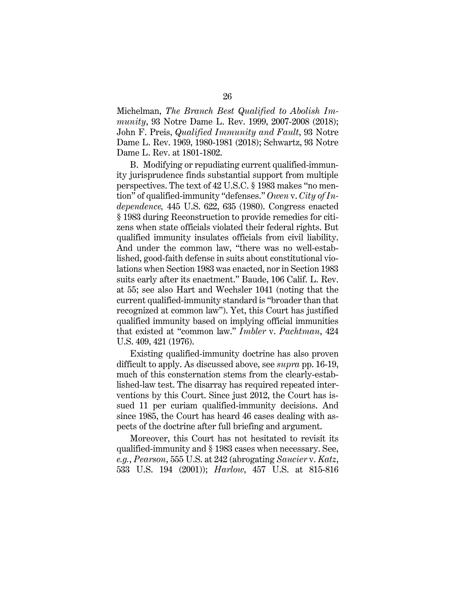Michelman, The Branch Best Qualified to Abolish Immunity, 93 Notre Dame L. Rev. 1999, 2007-2008 (2018); John F. Preis, *Qualified Immunity and Fault*, 93 Notre Dame L. Rev. 1969, 1980-1981 (2018); Schwartz, 93 Notre Dame L. Rev. at 1801-1802.

B. Modifying or repudiating current qualified-immunity jurisprudence finds substantial support from multiple perspectives. The text of 42 U.S.C. § 1983 makes "no mention" of qualified-immunity "defenses." Owen v. City of Independence, 445 U.S. 622, 635 (1980). Congress enacted § 1983 during Reconstruction to provide remedies for citizens when state officials violated their federal rights. But qualified immunity insulates officials from civil liability. And under the common law, "there was no well-established, good-faith defense in suits about constitutional violations when Section 1983 was enacted, nor in Section 1983 suits early after its enactment." Baude, 106 Calif. L. Rev. at 55; see also Hart and Wechsler 1041 (noting that the current qualified-immunity standard is "broader than that recognized at common law"). Yet, this Court has justified qualified immunity based on implying official immunities that existed at "common law." Imbler v. Pachtman, 424 U.S. 409, 421 (1976).

Existing qualified-immunity doctrine has also proven difficult to apply. As discussed above, see *supra* pp. 16-19, much of this consternation stems from the clearly-established-law test. The disarray has required repeated interventions by this Court. Since just 2012, the Court has issued 11 per curiam qualified-immunity decisions. And since 1985, the Court has heard 46 cases dealing with aspects of the doctrine after full briefing and argument.

Moreover, this Court has not hesitated to revisit its qualified-immunity and § 1983 cases when necessary. See, e.g., Pearson, 555 U.S. at 242 (abrogating Saucier v. Katz, 533 U.S. 194 (2001)); Harlow, 457 U.S. at 815-816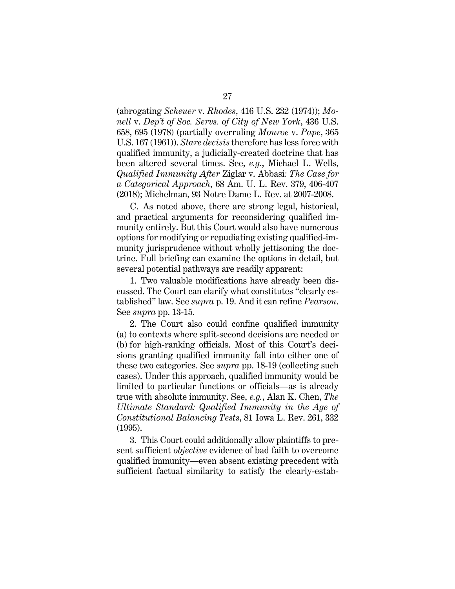(abrogating Scheuer v. Rhodes, 416 U.S. 232 (1974)); Monell v. Dep't of Soc. Servs. of City of New York, 436 U.S. 658, 695 (1978) (partially overruling Monroe v. Pape, 365 U.S. 167 (1961)). Stare decisis therefore has less force with qualified immunity, a judicially-created doctrine that has been altered several times. See, e.g., Michael L. Wells, Qualified Immunity After Ziglar v. Abbasi: The Case for a Categorical Approach, 68 Am. U. L. Rev. 379, 406-407 (2018); Michelman, 93 Notre Dame L. Rev. at 2007-2008.

C. As noted above, there are strong legal, historical, and practical arguments for reconsidering qualified immunity entirely. But this Court would also have numerous options for modifying or repudiating existing qualified-immunity jurisprudence without wholly jettisoning the doctrine. Full briefing can examine the options in detail, but several potential pathways are readily apparent:

1. Two valuable modifications have already been discussed. The Court can clarify what constitutes "clearly established" law. See *supra* p. 19. And it can refine *Pearson*. See *supra* pp. 13-15.

2. The Court also could confine qualified immunity (a) to contexts where split-second decisions are needed or (b) for high-ranking officials. Most of this Court's decisions granting qualified immunity fall into either one of these two categories. See *supra* pp. 18-19 (collecting such cases). Under this approach, qualified immunity would be limited to particular functions or officials—as is already true with absolute immunity. See, e.g., Alan K. Chen, The Ultimate Standard: Qualified Immunity in the Age of Constitutional Balancing Tests, 81 Iowa L. Rev. 261, 332 (1995).

3. This Court could additionally allow plaintiffs to present sufficient objective evidence of bad faith to overcome qualified immunity—even absent existing precedent with sufficient factual similarity to satisfy the clearly-estab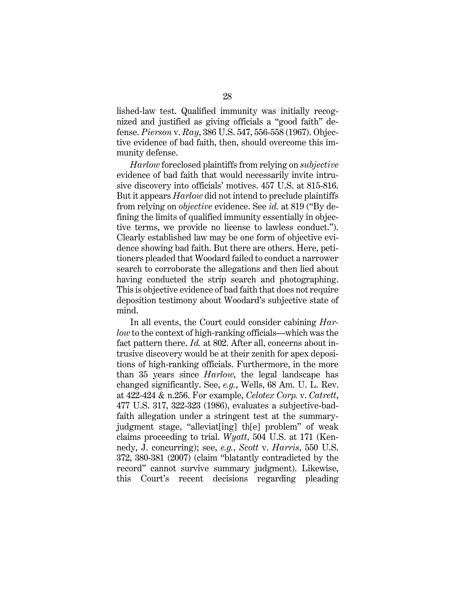lished-law test. Qualified immunity was initially recognized and justified as giving officials a "good faith" defense. Pierson v. Ray, 386 U.S. 547, 556-558 (1967). Objective evidence of bad faith, then, should overcome this immunity defense.

Harlow foreclosed plaintiffs from relying on subjective evidence of bad faith that would necessarily invite intrusive discovery into officials' motives. 457 U.S. at 815-816. But it appears Harlow did not intend to preclude plaintiffs from relying on objective evidence. See id. at 819 ("By defining the limits of qualified immunity essentially in objective terms, we provide no license to lawless conduct."). Clearly established law may be one form of objective evidence showing bad faith. But there are others. Here, petitioners pleaded that Woodard failed to conduct a narrower search to corroborate the allegations and then lied about having conducted the strip search and photographing. This is objective evidence of bad faith that does not require deposition testimony about Woodard's subjective state of mind.

In all events, the Court could consider cabining Harlow to the context of high-ranking officials—which was the fact pattern there. *Id.* at 802. After all, concerns about intrusive discovery would be at their zenith for apex depositions of high-ranking officials. Furthermore, in the more than 35 years since Harlow, the legal landscape has changed significantly. See, e.g., Wells, 68 Am. U. L. Rev. at 422-424 & n.256. For example, Celotex Corp. v. Catrett, 477 U.S. 317, 322-323 (1986), evaluates a subjective-badfaith allegation under a stringent test at the summaryjudgment stage, "alleviat[ing] th[e] problem" of weak claims proceeding to trial. Wyatt, 504 U.S. at 171 (Kennedy, J. concurring); see, e.g., Scott v. Harris, 550 U.S. 372, 380-381 (2007) (claim "blatantly contradicted by the record" cannot survive summary judgment). Likewise, this Court's recent decisions regarding pleading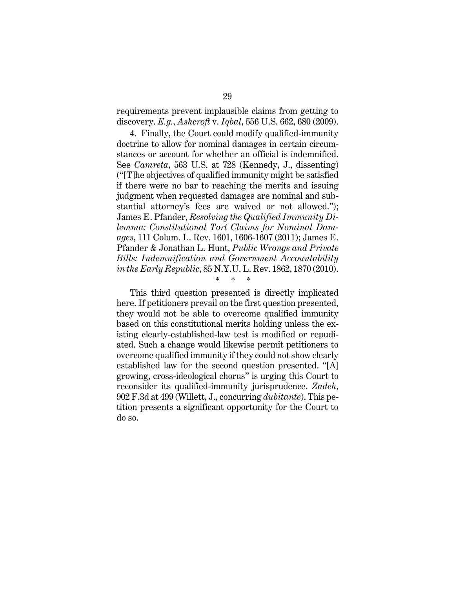requirements prevent implausible claims from getting to discovery. E.g., Ashcroft v. Iqbal, 556 U.S. 662, 680 (2009).

4. Finally, the Court could modify qualified-immunity doctrine to allow for nominal damages in certain circumstances or account for whether an official is indemnified. See Camreta, 563 U.S. at 728 (Kennedy, J., dissenting) ("[T]he objectives of qualified immunity might be satisfied if there were no bar to reaching the merits and issuing judgment when requested damages are nominal and substantial attorney's fees are waived or not allowed."); James E. Pfander, Resolving the Qualified Immunity Dilemma: Constitutional Tort Claims for Nominal Damages, 111 Colum. L. Rev. 1601, 1606-1607 (2011); James E. Pfander & Jonathan L. Hunt, Public Wrongs and Private Bills: Indemnification and Government Accountability in the Early Republic, 85 N.Y.U. L. Rev. 1862, 1870 (2010).

# This third question presented is directly implicated here. If petitioners prevail on the first question presented, they would not be able to overcome qualified immunity based on this constitutional merits holding unless the existing clearly-established-law test is modified or repudiated. Such a change would likewise permit petitioners to overcome qualified immunity if they could not show clearly established law for the second question presented. "[A] growing, cross-ideological chorus" is urging this Court to reconsider its qualified-immunity jurisprudence. Zadeh,  $902$  F.3d at 499 (Willett, J., concurring *dubitante*). This petition presents a significant opportunity for the Court to do so.

\* \* \*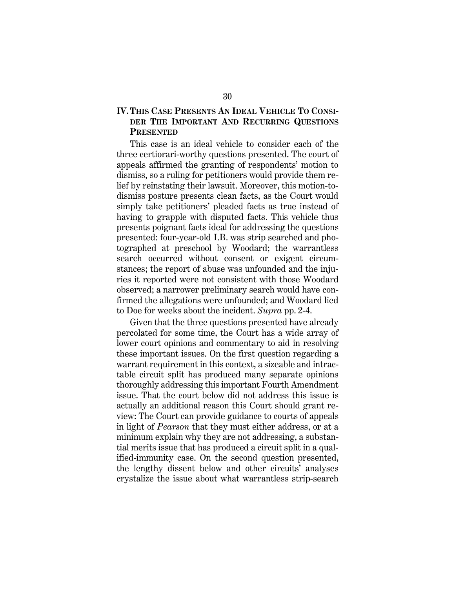# IV. THIS CASE PRESENTS AN IDEAL VEHICLE TO CONSI-DER THE IMPORTANT AND RECURRING QUESTIONS **PRESENTED**

This case is an ideal vehicle to consider each of the three certiorari-worthy questions presented. The court of appeals affirmed the granting of respondents' motion to dismiss, so a ruling for petitioners would provide them relief by reinstating their lawsuit. Moreover, this motion-todismiss posture presents clean facts, as the Court would simply take petitioners' pleaded facts as true instead of having to grapple with disputed facts. This vehicle thus presents poignant facts ideal for addressing the questions presented: four-year-old I.B. was strip searched and photographed at preschool by Woodard; the warrantless search occurred without consent or exigent circumstances; the report of abuse was unfounded and the injuries it reported were not consistent with those Woodard observed; a narrower preliminary search would have confirmed the allegations were unfounded; and Woodard lied to Doe for weeks about the incident. Supra pp. 2-4.

Given that the three questions presented have already percolated for some time, the Court has a wide array of lower court opinions and commentary to aid in resolving these important issues. On the first question regarding a warrant requirement in this context, a sizeable and intractable circuit split has produced many separate opinions thoroughly addressing this important Fourth Amendment issue. That the court below did not address this issue is actually an additional reason this Court should grant review: The Court can provide guidance to courts of appeals in light of Pearson that they must either address, or at a minimum explain why they are not addressing, a substantial merits issue that has produced a circuit split in a qualified-immunity case. On the second question presented, the lengthy dissent below and other circuits' analyses crystalize the issue about what warrantless strip-search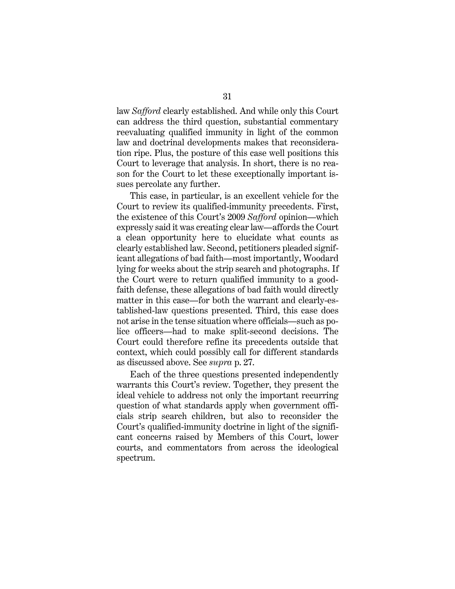law Safford clearly established. And while only this Court can address the third question, substantial commentary reevaluating qualified immunity in light of the common law and doctrinal developments makes that reconsideration ripe. Plus, the posture of this case well positions this Court to leverage that analysis. In short, there is no reason for the Court to let these exceptionally important issues percolate any further.

This case, in particular, is an excellent vehicle for the Court to review its qualified-immunity precedents. First, the existence of this Court's 2009 Safford opinion—which expressly said it was creating clear law—affords the Court a clean opportunity here to elucidate what counts as clearly established law. Second, petitioners pleaded significant allegations of bad faith—most importantly, Woodard lying for weeks about the strip search and photographs. If the Court were to return qualified immunity to a goodfaith defense, these allegations of bad faith would directly matter in this case—for both the warrant and clearly-established-law questions presented. Third, this case does not arise in the tense situation where officials—such as police officers—had to make split-second decisions. The Court could therefore refine its precedents outside that context, which could possibly call for different standards as discussed above. See supra p. 27.

Each of the three questions presented independently warrants this Court's review. Together, they present the ideal vehicle to address not only the important recurring question of what standards apply when government officials strip search children, but also to reconsider the Court's qualified-immunity doctrine in light of the significant concerns raised by Members of this Court, lower courts, and commentators from across the ideological spectrum.